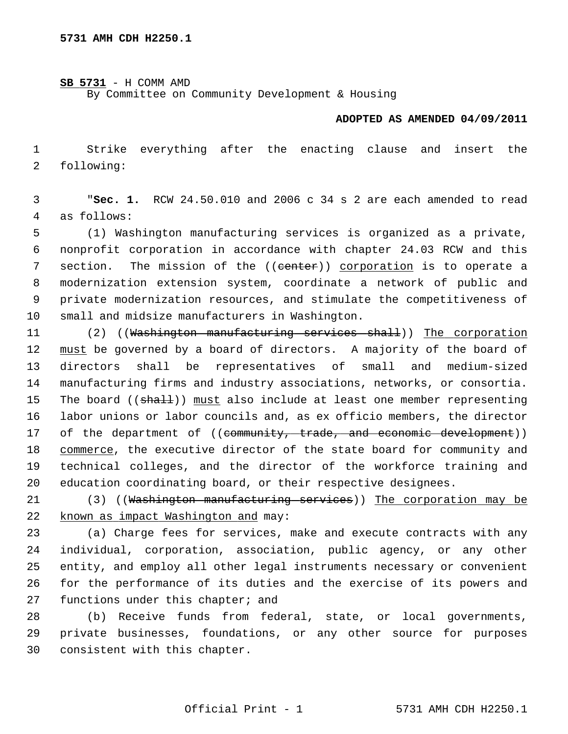**SB 5731** - H COMM AMD

By Committee on Community Development & Housing

## **ADOPTED AS AMENDED 04/09/2011**

 1 Strike everything after the enacting clause and insert the 2 following:

 3 "**Sec. 1.** RCW 24.50.010 and 2006 c 34 s 2 are each amended to read 4 as follows:

 5 (1) Washington manufacturing services is organized as a private, 6 nonprofit corporation in accordance with chapter 24.03 RCW and this 7 section. The mission of the ((center)) corporation is to operate a 8 modernization extension system, coordinate a network of public and 9 private modernization resources, and stimulate the competitiveness of 10 small and midsize manufacturers in Washington.

11 (2) ((Washington manufacturing services shall)) The corporation 12 must be governed by a board of directors. A majority of the board of 13 directors shall be representatives of small and medium-sized 14 manufacturing firms and industry associations, networks, or consortia. 15 The board ((shall)) must also include at least one member representing 16 labor unions or labor councils and, as ex officio members, the director 17 of the department of ((community, trade, and economic development)) 18 commerce, the executive director of the state board for community and 19 technical colleges, and the director of the workforce training and 20 education coordinating board, or their respective designees.

21 (3) ((Washington manufacturing services)) The corporation may be 22 known as impact Washington and may:

23 (a) Charge fees for services, make and execute contracts with any 24 individual, corporation, association, public agency, or any other 25 entity, and employ all other legal instruments necessary or convenient 26 for the performance of its duties and the exercise of its powers and 27 functions under this chapter; and

28 (b) Receive funds from federal, state, or local governments, 29 private businesses, foundations, or any other source for purposes 30 consistent with this chapter.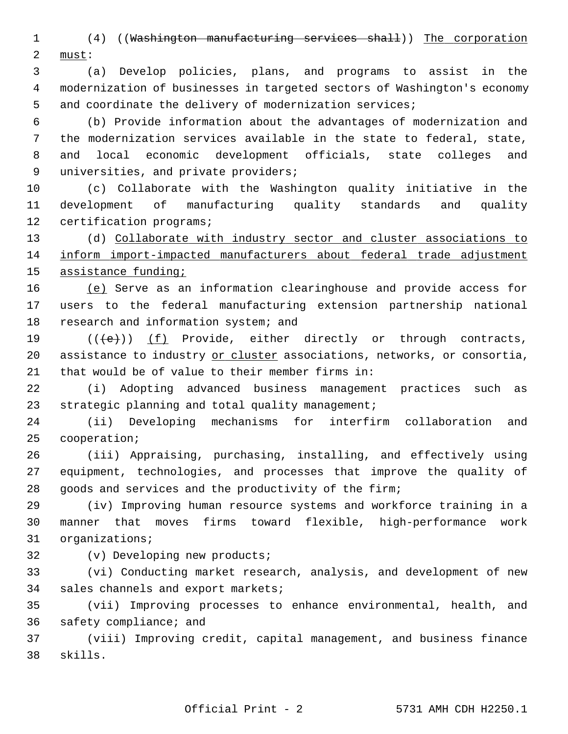1 (4) ((Washington manufacturing services shall)) The corporation 2 must:

 3 (a) Develop policies, plans, and programs to assist in the 4 modernization of businesses in targeted sectors of Washington's economy 5 and coordinate the delivery of modernization services;

 6 (b) Provide information about the advantages of modernization and 7 the modernization services available in the state to federal, state, 8 and local economic development officials, state colleges and 9 universities, and private providers;

10 (c) Collaborate with the Washington quality initiative in the 11 development of manufacturing quality standards and quality 12 certification programs;

13 (d) Collaborate with industry sector and cluster associations to 14 inform import-impacted manufacturers about federal trade adjustment 15 assistance funding;

16 (e) Serve as an information clearinghouse and provide access for 17 users to the federal manufacturing extension partnership national 18 research and information system; and

19  $((\{e\})$   $(f)$  Provide, either directly or through contracts, 20 assistance to industry or cluster associations, networks, or consortia, 21 that would be of value to their member firms in:

22 (i) Adopting advanced business management practices such as 23 strategic planning and total quality management;

24 (ii) Developing mechanisms for interfirm collaboration and 25 cooperation;

26 (iii) Appraising, purchasing, installing, and effectively using 27 equipment, technologies, and processes that improve the quality of 28 goods and services and the productivity of the firm;

29 (iv) Improving human resource systems and workforce training in a 30 manner that moves firms toward flexible, high-performance work 31 organizations;

32 (v) Developing new products;

33 (vi) Conducting market research, analysis, and development of new 34 sales channels and export markets;

35 (vii) Improving processes to enhance environmental, health, and 36 safety compliance; and

37 (viii) Improving credit, capital management, and business finance 38 skills.